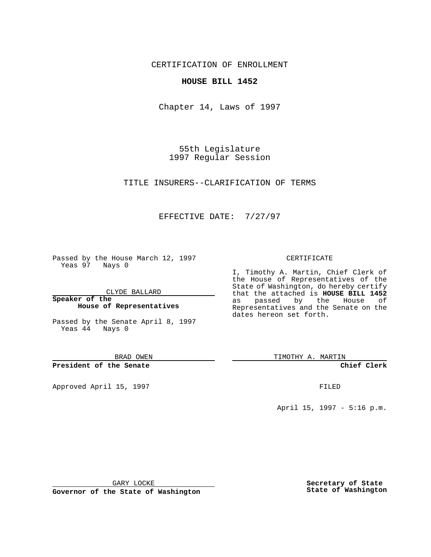CERTIFICATION OF ENROLLMENT

## **HOUSE BILL 1452**

Chapter 14, Laws of 1997

55th Legislature 1997 Regular Session

TITLE INSURERS--CLARIFICATION OF TERMS

## EFFECTIVE DATE: 7/27/97

Passed by the House March 12, 1997 Yeas 97 Nays 0

CLYDE BALLARD

**Speaker of the House of Representatives**

Passed by the Senate April 8, 1997 Yeas 44 Nays 0

BRAD OWEN

**President of the Senate**

Approved April 15, 1997 **FILED** 

## CERTIFICATE

I, Timothy A. Martin, Chief Clerk of the House of Representatives of the State of Washington, do hereby certify that the attached is **HOUSE BILL 1452** as passed by the House of Representatives and the Senate on the dates hereon set forth.

TIMOTHY A. MARTIN

**Chief Clerk**

April 15, 1997 - 5:16 p.m.

GARY LOCKE

**Governor of the State of Washington**

**Secretary of State State of Washington**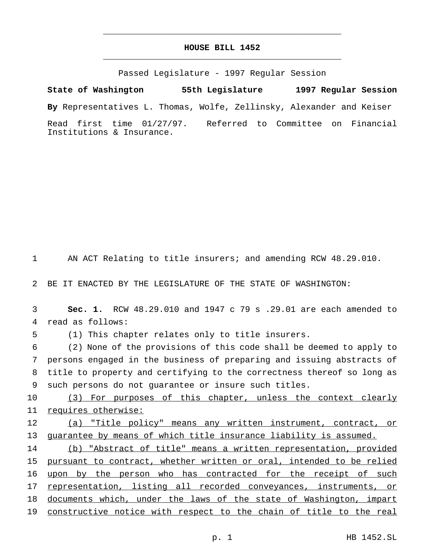## **HOUSE BILL 1452** \_\_\_\_\_\_\_\_\_\_\_\_\_\_\_\_\_\_\_\_\_\_\_\_\_\_\_\_\_\_\_\_\_\_\_\_\_\_\_\_\_\_\_\_\_\_\_

\_\_\_\_\_\_\_\_\_\_\_\_\_\_\_\_\_\_\_\_\_\_\_\_\_\_\_\_\_\_\_\_\_\_\_\_\_\_\_\_\_\_\_\_\_\_\_

Passed Legislature - 1997 Regular Session

**State of Washington 55th Legislature 1997 Regular Session By** Representatives L. Thomas, Wolfe, Zellinsky, Alexander and Keiser Read first time 01/27/97. Referred to Committee on Financial Institutions & Insurance.

1 AN ACT Relating to title insurers; and amending RCW 48.29.010.

2 BE IT ENACTED BY THE LEGISLATURE OF THE STATE OF WASHINGTON:

3 **Sec. 1.** RCW 48.29.010 and 1947 c 79 s .29.01 are each amended to 4 read as follows:

5 (1) This chapter relates only to title insurers.

 (2) None of the provisions of this code shall be deemed to apply to persons engaged in the business of preparing and issuing abstracts of title to property and certifying to the correctness thereof so long as such persons do not guarantee or insure such titles.

10 (3) For purposes of this chapter, unless the context clearly 11 requires otherwise:

12 (a) "Title policy" means any written instrument, contract, or 13 guarantee by means of which title insurance liability is assumed.

14 (b) "Abstract of title" means a written representation, provided 15 pursuant to contract, whether written or oral, intended to be relied 16 upon by the person who has contracted for the receipt of such 17 representation, listing all recorded conveyances, instruments, or 18 documents which, under the laws of the state of Washington, impart 19 constructive notice with respect to the chain of title to the real